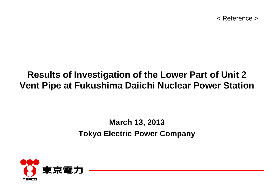< Reference >

# **Results of Investigation of the Lower Part of Unit 2 Vent Pipe at Fukushima Daiichi Nuclear Power Station**

## **March 13, 2013 Tokyo Electric Power Company**

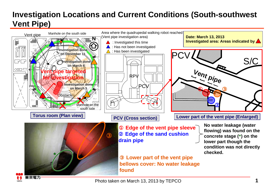### **Investigation Locations and Current Conditions (South-southwest Vent Pipe)**



1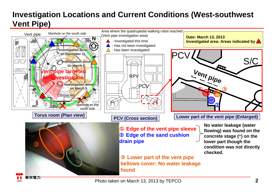### **Investigation Locations and Current Conditions (West-southwest Vent Pipe)**